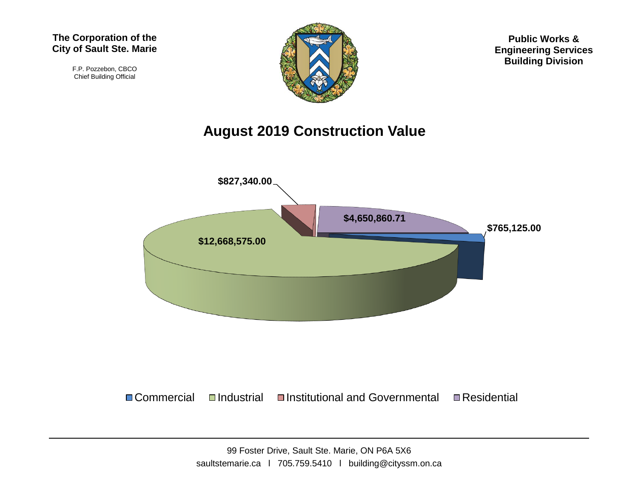F.P. Pozzebon, CBCO Chief Building Official



**Public Works & Engineering Services Building Division**

#### **August 2019 Construction Value**



#### $\Box$  Commercial  $\Box$ Industrial  $\Box$ Institutional and Governmental  $\Box$  Residential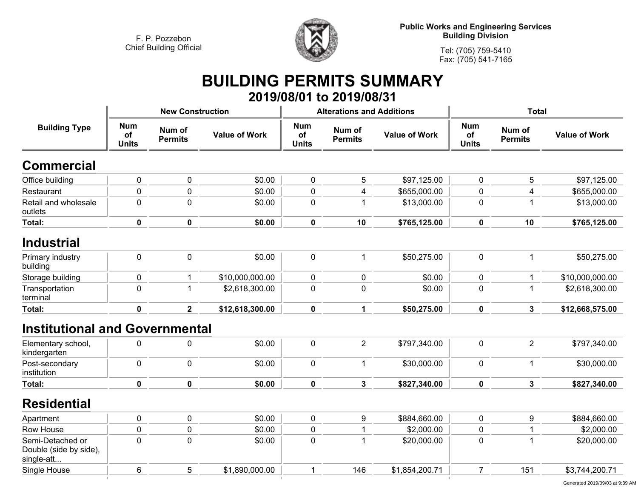

**Tel: (705) 759-5410 Fax: (705) 541-7165**

# **BUILDING PERMITS SUMMARY**

|                                                          |                                  |                          |                      |                                  | 2019/08/01 to 2019/08/31         |                      |                                  |                          |                      |
|----------------------------------------------------------|----------------------------------|--------------------------|----------------------|----------------------------------|----------------------------------|----------------------|----------------------------------|--------------------------|----------------------|
|                                                          |                                  | <b>New Construction</b>  |                      |                                  | <b>Alterations and Additions</b> |                      | <b>Total</b>                     |                          |                      |
| <b>Building Type</b>                                     | <b>Num</b><br>of<br><b>Units</b> | Num of<br><b>Permits</b> | <b>Value of Work</b> | <b>Num</b><br>of<br><b>Units</b> | Num of<br><b>Permits</b>         | <b>Value of Work</b> | <b>Num</b><br>of<br><b>Units</b> | Num of<br><b>Permits</b> | <b>Value of Work</b> |
| <b>Commercial</b>                                        |                                  |                          |                      |                                  |                                  |                      |                                  |                          |                      |
| Office building                                          | $\pmb{0}$                        | $\pmb{0}$                | \$0.00               | $\pmb{0}$                        | 5                                | \$97,125.00          | 0                                | 5                        | \$97,125.00          |
| Restaurant                                               | $\overline{0}$                   | $\mathbf 0$              | \$0.00               | $\pmb{0}$                        | $\overline{4}$                   | \$655,000.00         | 0                                | $\overline{4}$           | \$655,000.00         |
| Retail and wholesale<br>outlets                          | $\mathbf 0$                      | $\mathbf 0$              | \$0.00               | $\mathbf 0$                      | $\mathbf{1}$                     | \$13,000.00          | 0                                | $\mathbf 1$              | \$13,000.00          |
| Total:                                                   | $\mathbf 0$                      | $\mathbf 0$              | \$0.00               | $\mathbf 0$                      | 10                               | \$765,125.00         | 0                                | 10                       | \$765,125.00         |
| <b>Industrial</b>                                        |                                  |                          |                      |                                  |                                  |                      |                                  |                          |                      |
| Primary industry<br>building                             | $\pmb{0}$                        | $\pmb{0}$                | \$0.00               | $\mathbf 0$                      | $\mathbf{1}$                     | \$50,275.00          | $\pmb{0}$                        | $\mathbf{1}$             | \$50,275.00          |
| Storage building                                         | 0                                | 1                        | \$10,000,000.00      | 0                                | 0                                | \$0.00               | 0                                | 1                        | \$10,000,000.00      |
| Transportation<br>terminal                               | 0                                | $\mathbf{1}$             | \$2,618,300.00       | $\pmb{0}$                        | $\mathbf 0$                      | \$0.00               | $\mathbf 0$                      | $\mathbf 1$              | \$2,618,300.00       |
| <b>Total:</b>                                            | $\mathbf 0$                      | $\overline{2}$           | \$12,618,300.00      | $\mathbf 0$                      | $\mathbf{1}$                     | \$50,275.00          | $\mathbf 0$                      | 3                        | \$12,668,575.00      |
| <b>Institutional and Governmental</b>                    |                                  |                          |                      |                                  |                                  |                      |                                  |                          |                      |
| Elementary school,<br>kindergarten                       | $\mathbf 0$                      | $\pmb{0}$                | \$0.00               | $\mathbf 0$                      | $\overline{2}$                   | \$797,340.00         | $\pmb{0}$                        | $\overline{2}$           | \$797,340.00         |
| Post-secondary<br>institution                            | 0                                | $\mathbf 0$              | \$0.00               | $\mathbf 0$                      | 1                                | \$30,000.00          | 0                                | $\mathbf{1}$             | \$30,000.00          |
| Total:                                                   | $\mathbf 0$                      | $\mathbf 0$              | \$0.00               | $\mathbf 0$                      | $\mathbf{3}$                     | \$827,340.00         | $\mathbf 0$                      | $\mathbf{3}$             | \$827,340.00         |
| <b>Residential</b>                                       |                                  |                          |                      |                                  |                                  |                      |                                  |                          |                      |
| Apartment                                                | $\pmb{0}$                        | $\pmb{0}$                | \$0.00               | $\pmb{0}$                        | 9                                | \$884,660.00         | 0                                | $\boldsymbol{9}$         | \$884,660.00         |
| Row House                                                | 0                                | $\mathbf 0$              | \$0.00               | 0                                | 1                                | \$2,000.00           | 0                                | 1                        | \$2,000.00           |
| Semi-Detached or<br>Double (side by side),<br>single-att | $\mathbf 0$                      | $\mathbf 0$              | \$0.00               | $\mathbf 0$                      | 1                                | \$20,000.00          | $\mathbf 0$                      | $\mathbf{1}$             | \$20,000.00          |
| Single House                                             | 6                                | 5                        | \$1,890,000.00       | -1                               | 146                              | \$1,854,200.71       | $\overline{7}$                   | 151                      | \$3,744,200.71       |
|                                                          |                                  |                          |                      |                                  |                                  |                      |                                  |                          |                      |

Generated 2019/09/03 at 9:39 AM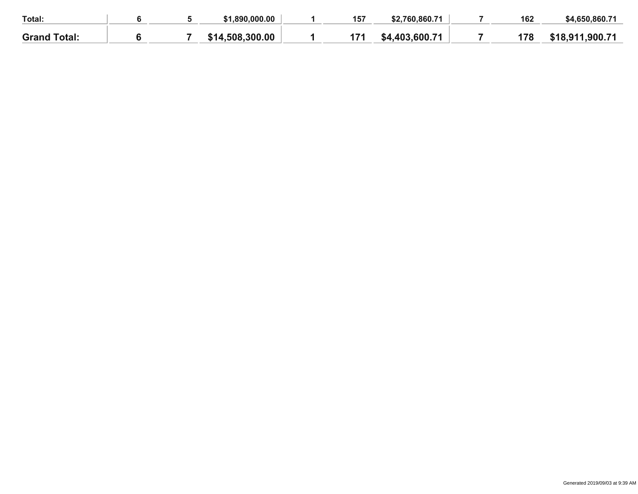| Total:              |  | .890.000.00           | 157 | $760.860.7^{\prime}$<br>ぐつ | 162                   | \$4,650,860.71 |
|---------------------|--|-----------------------|-----|----------------------------|-----------------------|----------------|
| <b>Grand Total:</b> |  | .300.00<br>508<br>514 | . . | .600.71<br><b>403</b>      | 170<br>$\blacksquare$ | .911.900.71    |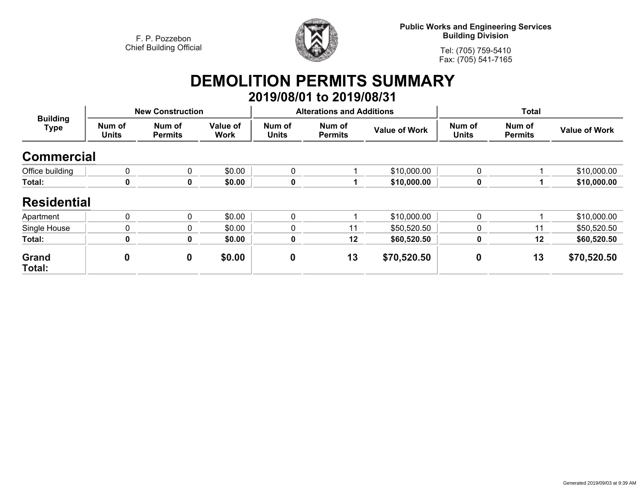

**Public Works and Engineering Services Building Division**

**Tel: (705) 759-5410Fax: (705) 541-7165**

# **DEMOLITION PERMITS SUMMARY**

|                                |                        |                          |                         |                        | 2019/08/01 to 2019/08/31         |                      |                        |                          |                      |
|--------------------------------|------------------------|--------------------------|-------------------------|------------------------|----------------------------------|----------------------|------------------------|--------------------------|----------------------|
| <b>Building</b><br><b>Type</b> |                        | <b>New Construction</b>  |                         |                        | <b>Alterations and Additions</b> |                      | <b>Total</b>           |                          |                      |
|                                | Num of<br><b>Units</b> | Num of<br><b>Permits</b> | Value of<br><b>Work</b> | Num of<br><b>Units</b> | Num of<br><b>Permits</b>         | <b>Value of Work</b> | Num of<br><b>Units</b> | Num of<br><b>Permits</b> | <b>Value of Work</b> |
| <b>Commercial</b>              |                        |                          |                         |                        |                                  |                      |                        |                          |                      |
| Office building                | 0                      | $\mathbf{0}$             | \$0.00                  | $\Omega$               |                                  | \$10,000.00          | 0                      |                          | \$10,000.00          |
| Total:                         | 0                      | 0                        | \$0.00                  | 0                      |                                  | \$10,000.00          | 0                      |                          | \$10,000.00          |
| <b>Residential</b>             |                        |                          |                         |                        |                                  |                      |                        |                          |                      |
| Apartment                      | $\pmb{0}$              | 0                        | \$0.00                  | $\mathbf{0}$           |                                  | \$10,000.00          | 0                      |                          | \$10,000.00          |
| Single House                   | 0                      | 0                        | \$0.00                  | $\mathbf 0$            | 11                               | \$50,520.50          | 0                      | 11                       | \$50,520.50          |
| Total:                         | $\mathbf 0$            | 0                        | \$0.00                  | $\mathbf 0$            | 12                               | \$60,520.50          | 0                      | 12                       | \$60,520.50          |
| Grand<br>Total:                | 0                      | $\mathbf 0$              | \$0.00                  | $\boldsymbol{0}$       | 13                               | \$70,520.50          | 0                      | 13                       | \$70,520.50          |